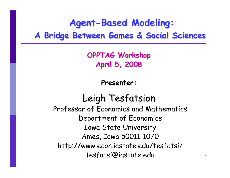### **Agent-Based Modeling: A Bridge Between Games & Social Sciences A Bridge Between Games & Social Sciences**

**OPPTAG Workshop OPPTAG Workshop April 5, 2008 April 5, 2008**

**Presenter: Presenter:**

Leigh Tesfatsion Professor of Economics and Mathematics Department of Economics Iowa State University Ames, Iowa 50011-1070 http://www.econ.iastate.edu/tesfatsi/ tesfatsi@iastate.edu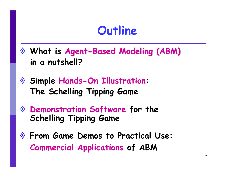### **Outline**

- **What is Agent-Based Modeling (ABM) Based Modeling (ABM) in a nutshell?**
- **Simple Hands-On Illustration: The Schelling Tipping Game**
- **Demonstration Software for the Schelling Tipping Game**
- **From Game Demos to Practical Use: Commercial Applications of ABM**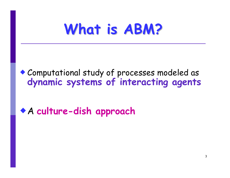# **What is ABM? What is ABM?**

#### Computational study of processes modeled as **dynamic systems of interacting agents**

### A **culture-dish approach**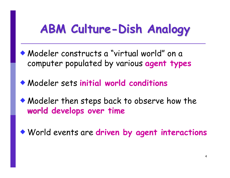# **ABM Culture-Dish Analogy**

- Modeler constructs a "virtual world" on a computer populated by various **agent types**
- Modeler sets **initial world conditions**
- Modeler then steps back to observe how the **world develops over time world**
- World events are **driven by agent interactions**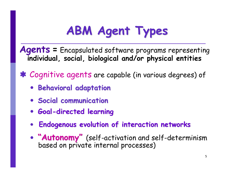# **ABM Agent Types ABM Agent Types**

**Agents =** Encapsulated software programs representing **individual, social, biological and/or physical entities**

Á Cognitive agents are capable (in various degrees) of

- y **Behavioral adaptation Behavioral adaptation**
- y **Social communication Social communication**
- y **Goal -directed learning directed learning**
- $\bullet$ **Endogenous evolution of interaction networks Endogenous evolution of interaction networks**
- $\bullet$ "Autonomy" (self-activation and self-determinism<br>based on private internal processes)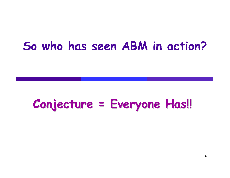### **So who has seen ABM in action?**

## **Conjecture = Everyone Has!! Conjecture = Everyone Has!!**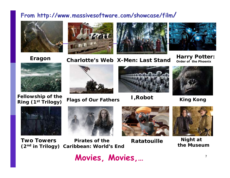#### **From http://www.massivesoftware.com/showcase/film /**









**Charlotte's Web X-Men: Last Stand Eragon Harry Potter: Order of the Phoenix**



**Fellowship of the**



**Ring (1st Trilogy) Flags of Our Fathers**



**I,Robot King Kong**









 **Night at the Museum**

**Two Towers(2nd in Trilogy) Caribbean: World's End Pirates of the** 

**Ratatouille**



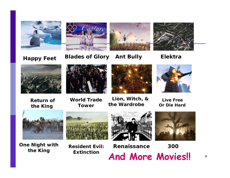

#### **Happy Feet Blades of Glory Ant Bully Elektra**





**Return ofthe King**

**World Trade Tower**



**Lion, Witch, &** 

**the Wardrobe**



**Live Free Or Die Hard**



**One Night with the King**



**Resident Evil:Extinction**





8

**Renaissance 300 And More Movies!!**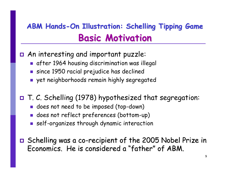### **ABM Hands-On Illustration: Schelling Tipping Game Basic Motivation Basic Motivation**

- An interesting and important puzzle:
	- after 1964 housing discrimination was illegal
	- since 1950 racial prejudice has declined
	- yet neighborhoods remain highly segregated
- T. C. Schelling (1978) hypothesized that segregation:
	- **g** does not need to be imposed (top-down)
	- does not reflect preferences (bottom-up)
	- self-organizes through dynamic interaction
- $\, \blacksquare \,$  Schelling was a co-recipient of the 2005 Nobel Prize in  $\,$ Economics. He is considered a "father" of ABM.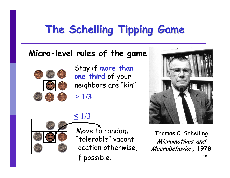## **The Schelling Tipping Game The Schelling Tipping Game**

#### **Micro-level rules of the game**



Stay if **more than one third** of your neighbors are "kin" **> 1/3**



### **≤ 1/3**

Move to random "tolerable" vacant location otherwise, if possible.



Thomas C. Schelling **Micromotives and Macrobehavior, 1978**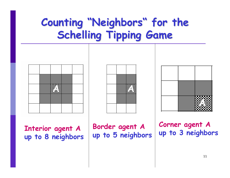### **Counting "Neighbors" for the Schelling Tipping Game Schelling Tipping Game**







**Interior agent A up to 8 neighbors** **Border agent A up to 5 neighbors**

**Corner agent A up to 3 neighbors**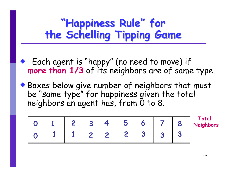### **"Happiness Rule Happiness Rule" for the Schelling Tipping Game the Schelling Tipping Game**

 Each agent is "happy" (no need to move) if **more than 1/3** of its neighbors are of same type.

 Boxes below give number of neighbors that must be "same type" for happiness given the total neighbors an agent has, from  $\bar{0}$  to 8.

|  | $\sim$ | 50 |  | Total<br><b>Neighbors</b> |
|--|--------|----|--|---------------------------|
|  | $\sim$ |    |  |                           |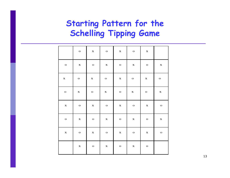#### **Starting Pattern for the Schelling Tipping Game**

|        | $\mathbf{o}$ | x            | $\circ$     | x    | $\circ$     | x            |              |
|--------|--------------|--------------|-------------|------|-------------|--------------|--------------|
| $\,$ O | $\mathbf x$  | o            | x           | о    | $\mathbf x$ | $\mathbf{o}$ | $\mathbf x$  |
| х      | $\,$ O       | x            | $\mathbf O$ | x    | o           | x            | $\mathbf{o}$ |
| o      | x            | o            | x           | $\,$ | x           | $\,$         | $\mathbf x$  |
| х      | $\,$         | х            | $\,$        | x    | $\,$        | х            | $\,$         |
| o      | x            | $\mathbf{o}$ | x           | $\,$ | x           | $\mathbf{o}$ | x            |
| х      | $\,$         | х            | o           | х    | o           | х            | $\mathbf{o}$ |
|        | $\mathbf x$  | o            | х           | $\,$ | x           | $\,$         |              |

13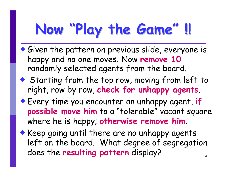#### **Now "Play the Game Play the Game " !!**

- Given the pattern on previous slide, everyone is happy and no one moves. Now **remove 10**  randomly selected agents from the board.
- ◆ Starting from the top row, moving from left to right, row by row, **check for unhappy agents**.
- Every time you encounter an unhappy agent, **if possible move him** to a "tolerable" vacant square where he is happy; **otherwise remove him**.
- 14• Keep going until there are no unhappy agents left on the board. What degree of segregation does the **resulting pattern** display?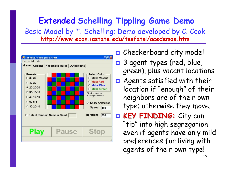#### **Extended Schelling Tippling Game Demo** Basic Model by T. Schelling; Demo developed by C. Cook **http://www.econ.iastate.edu/tesfatsi/acedemos.htm**



**O** Checkerboard city model  $\Box$  3 agent types (red, blue, green), plus vacant locations  $\Box$  Agents satisfied with their location if "enough" of their neighbors are of their own type; otherwise they move.  $\Box$  **KEY FINDING: KEY FINDING:** City can "tip" into high segregation even if agents have only mild preferences for living with agents of their own type!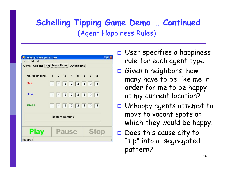#### **Schelling Tipping Game Demo … Continued** (Agent Happiness Rules)

| $\Box$ dk)<br><b>15 Schelling's Segregation Model</b><br>File Control Help |  |                                 |  |  |  |  |  |
|----------------------------------------------------------------------------|--|---------------------------------|--|--|--|--|--|
| Game   Options   Happiness Rules   Output data                             |  |                                 |  |  |  |  |  |
|                                                                            |  |                                 |  |  |  |  |  |
| No. Neighbors: 1 2 3 4 5 6 7 8                                             |  |                                 |  |  |  |  |  |
| Red                                                                        |  | $1$ $1$ $2$ $2$ $2$ $3$ $3$ $3$ |  |  |  |  |  |
| <b>Blue</b>                                                                |  | $1$ $1$ $2$ $2$ $2$ $3$ $3$ $3$ |  |  |  |  |  |
| Green                                                                      |  | $1$ $1$ $2$ $2$ $2$ $3$ $3$ $3$ |  |  |  |  |  |
| <b>Restore Defaults</b>                                                    |  |                                 |  |  |  |  |  |
| <b>Stop</b><br><b>Play</b><br><b>Pause</b>                                 |  |                                 |  |  |  |  |  |
| <b>Stopped</b>                                                             |  |                                 |  |  |  |  |  |

- **<u>o</u>** User specifies a happiness rule for each agent type
- Given n neighbors, how many have to be like me in order for me to be happy at my current location?
- Unhappy agents attempt to move to vacant spots at which they would be happy.
- **O** Does this cause city to "tip" into a segregated pattern?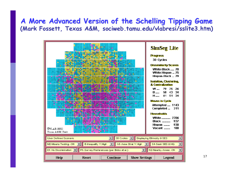#### **A More Advanced Version of the Schelling Tipping Game A More Advanced Version of the Schelling Tipping Game (Mark Fossett, Texas A&M, sociweb.tamu.edu/vlabresi/sslite3.htm)**

| <b>CVLAB-RESI</b><br>Texas A&M Univ.                                                            | 11 - A A<br>in teachtracha agus an coisig | and the property of the |                      | <b>SimSeg Lite</b><br><b>Progress</b><br>30 Cycles<br><b>Dissimilarity Scores</b><br>White-Black  70<br>White-Hispan  75<br>Hispan-Black  79<br><b>Isolation, Clustering,</b><br><b>&amp; Centralization</b><br>W<br>79<br>75 - 26<br>58<br>43<br><b>B</b><br>34<br>61<br>51<br>34<br><b>H</b><br>Moves in Cycle<br>Attempted  1143<br>Completed<br>311<br><b>Households</b><br><b>White </b> 2706<br><b>Black </b><br>937<br>930<br>Hispan<br>Vacant<br>180 |  |  |  |
|-------------------------------------------------------------------------------------------------|-------------------------------------------|-------------------------|----------------------|--------------------------------------------------------------------------------------------------------------------------------------------------------------------------------------------------------------------------------------------------------------------------------------------------------------------------------------------------------------------------------------------------------------------------------------------------------------|--|--|--|
| 30 Cycles<br><b>User Defined Scenario</b><br>Displaying Ethnicity & SES                         |                                           |                         |                      |                                                                                                                                                                                                                                                                                                                                                                                                                                                              |  |  |  |
| S4-Seek SES & HQ<br><b>IS-Inequality V.High</b><br>A5-Area Strat V.High<br>M2-Means Testing -ON |                                           |                         |                      |                                                                                                                                                                                                                                                                                                                                                                                                                                                              |  |  |  |
| D1-No Discrimination<br>P5-Survey Preferences (per Bobo et al.)<br>N2-Nearby Areas -ON          |                                           |                         |                      |                                                                                                                                                                                                                                                                                                                                                                                                                                                              |  |  |  |
| Help                                                                                            | <b>Reset</b>                              | Continue                | <b>Show Settings</b> | Legend                                                                                                                                                                                                                                                                                                                                                                                                                                                       |  |  |  |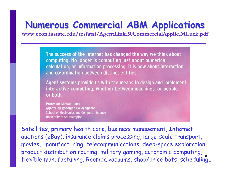### **Numerous Commercial ABM Applications Numerous Commercial ABM Applications**

**www.econ.iastate.edu/tesfatsi/AgentLink.50CommercialApplic.MLuck www.econ.iastate.edu/tesfatsi/AgentLink.50CommercialApplic.MLuck.pdf**

The success of the Internet has changed the way we think about computing. No longer is computing just about numerical calculation, or information processing, it is now about interaction and co-ordination between distinct entities.

Agent systems provide us with the means to design and implement interactive computing, whether between machines, or people, or both.

**Professor Michael Luck AgentLink Roadmap Co-ordinator School of Electronics and Computer Science** University of Southampton

.<br>flexible manufacturing, Roomba vacuums, shop/price bots, scheduling,... Satellites, primary health care, business management, Internet auctions (eBay), insurance claims processing, large-scale transport, movies, manufacturing, telecommunications, deep-space exploration, product distribution routing, military gaming, autonomic computing,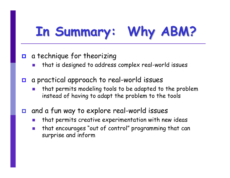# **In Summary: Why ABM? In Summary: Why ABM?**

#### $\Box$ a technique for theorizing

- that is designed to address complex real-world issues
- $\Box$  a practical approach to real-world issues
	- that permits modeling tools to be adapted to the problem instead of having to adapt the problem to the tools
- $\Box$  and a fun way to explore real-world issues
	- p. that permits creative experimentation with new ideas
	- $\sim$  1 that encourages "out of control" programming that can surprise and inform